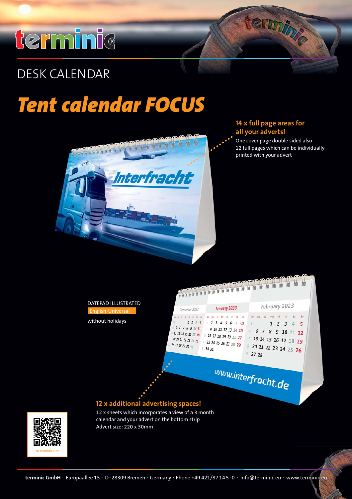## terminic

#### **C O M P E T E N C E I N C A L E N D A R S** DESK CALENDAR

### *Tent calendar FOCUS*



### **14 x full page areas for all your adverts!**

One cover page double sided also 12 full pages which can be individually printed with your advert

termine





calendar and your advert on the bottom strip Advert size: 220 x 30mm